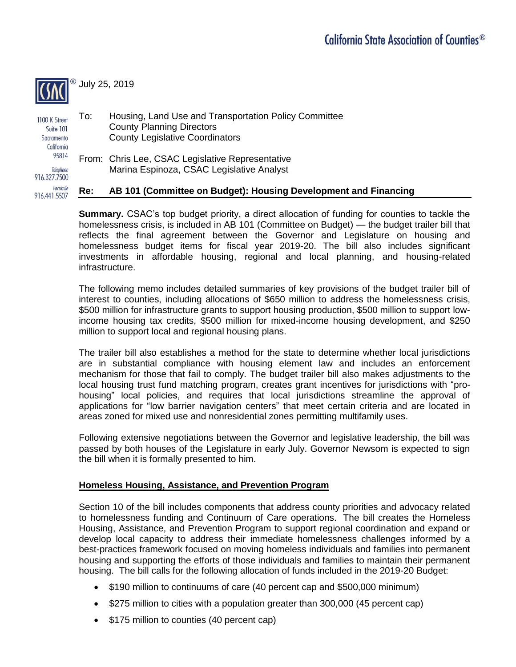

July 25, 2019

To: Housing, Land Use and Transportation Policy Committee 1100 K Street County Planning Directors Suite 101 County Legislative Coordinators Sacramento California 95814 From: Chris Lee, CSAC Legislative Representative Telephone Marina Espinoza, CSAC Legislative Analyst 916.327.7500 Facsimile

#### **Re: AB 101 (Committee on Budget): Housing Development and Financing**  916.441.5507

**Summary.** CSAC's top budget priority, a direct allocation of funding for counties to tackle the homelessness crisis, is included in AB 101 (Committee on Budget) — the budget trailer bill that reflects the final agreement between the Governor and Legislature on housing and homelessness budget items for fiscal year 2019-20. The bill also includes significant investments in affordable housing, regional and local planning, and housing-related infrastructure.

The following memo includes detailed summaries of key provisions of the budget trailer bill of interest to counties, including allocations of \$650 million to address the homelessness crisis, \$500 million for infrastructure grants to support housing production, \$500 million to support lowincome housing tax credits, \$500 million for mixed-income housing development, and \$250 million to support local and regional housing plans.

The trailer bill also establishes a method for the state to determine whether local jurisdictions are in substantial compliance with housing element law and includes an enforcement mechanism for those that fail to comply. The budget trailer bill also makes adjustments to the local housing trust fund matching program, creates grant incentives for jurisdictions with "prohousing" local policies, and requires that local jurisdictions streamline the approval of applications for "low barrier navigation centers" that meet certain criteria and are located in areas zoned for mixed use and nonresidential zones permitting multifamily uses.

Following extensive negotiations between the Governor and legislative leadership, the bill was passed by both houses of the Legislature in early July. Governor Newsom is expected to sign the bill when it is formally presented to him.

#### **Homeless Housing, Assistance, and Prevention Program**

Section 10 of the bill includes components that address county priorities and advocacy related to homelessness funding and Continuum of Care operations. The bill creates the Homeless Housing, Assistance, and Prevention Program to support regional coordination and expand or develop local capacity to address their immediate homelessness challenges informed by a best-practices framework focused on moving homeless individuals and families into permanent housing and supporting the efforts of those individuals and families to maintain their permanent housing. The bill calls for the following allocation of funds included in the 2019-20 Budget:

- \$190 million to continuums of care (40 percent cap and \$500,000 minimum)
- \$275 million to cities with a population greater than 300,000 (45 percent cap)
- \$175 million to counties (40 percent cap)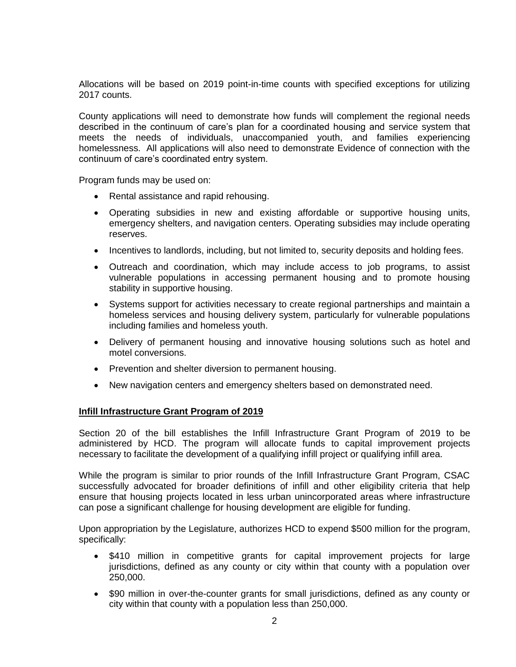Allocations will be based on 2019 point-in-time counts with specified exceptions for utilizing 2017 counts.

County applications will need to demonstrate how funds will complement the regional needs described in the continuum of care's plan for a coordinated housing and service system that meets the needs of individuals, unaccompanied youth, and families experiencing homelessness. All applications will also need to demonstrate Evidence of connection with the continuum of care's coordinated entry system.

Program funds may be used on:

- Rental assistance and rapid rehousing.
- Operating subsidies in new and existing affordable or supportive housing units, emergency shelters, and navigation centers. Operating subsidies may include operating reserves.
- Incentives to landlords, including, but not limited to, security deposits and holding fees.
- Outreach and coordination, which may include access to job programs, to assist vulnerable populations in accessing permanent housing and to promote housing stability in supportive housing.
- Systems support for activities necessary to create regional partnerships and maintain a homeless services and housing delivery system, particularly for vulnerable populations including families and homeless youth.
- Delivery of permanent housing and innovative housing solutions such as hotel and motel conversions.
- Prevention and shelter diversion to permanent housing.
- New navigation centers and emergency shelters based on demonstrated need.

#### **Infill Infrastructure Grant Program of 2019**

Section 20 of the bill establishes the Infill Infrastructure Grant Program of 2019 to be administered by HCD. The program will allocate funds to capital improvement projects necessary to facilitate the development of a qualifying infill project or qualifying infill area.

While the program is similar to prior rounds of the Infill Infrastructure Grant Program, CSAC successfully advocated for broader definitions of infill and other eligibility criteria that help ensure that housing projects located in less urban unincorporated areas where infrastructure can pose a significant challenge for housing development are eligible for funding.

Upon appropriation by the Legislature, authorizes HCD to expend \$500 million for the program, specifically:

- \$410 million in competitive grants for capital improvement projects for large jurisdictions, defined as any county or city within that county with a population over 250,000.
- \$90 million in over-the-counter grants for small jurisdictions, defined as any county or city within that county with a population less than 250,000.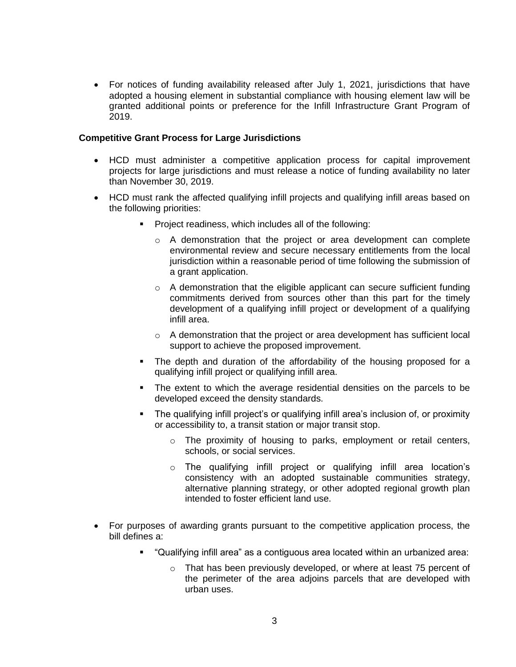• For notices of funding availability released after July 1, 2021, jurisdictions that have adopted a housing element in substantial compliance with housing element law will be granted additional points or preference for the Infill Infrastructure Grant Program of 2019.

### **Competitive Grant Process for Large Jurisdictions**

- HCD must administer a competitive application process for capital improvement projects for large jurisdictions and must release a notice of funding availability no later than November 30, 2019.
- HCD must rank the affected qualifying infill projects and qualifying infill areas based on the following priorities:
	- Project readiness, which includes all of the following:
		- $\circ$  A demonstration that the project or area development can complete environmental review and secure necessary entitlements from the local jurisdiction within a reasonable period of time following the submission of a grant application.
		- $\circ$  A demonstration that the eligible applicant can secure sufficient funding commitments derived from sources other than this part for the timely development of a qualifying infill project or development of a qualifying infill area.
		- $\circ$  A demonstration that the project or area development has sufficient local support to achieve the proposed improvement.
	- The depth and duration of the affordability of the housing proposed for a qualifying infill project or qualifying infill area.
	- The extent to which the average residential densities on the parcels to be developed exceed the density standards.
	- The qualifying infill project's or qualifying infill area's inclusion of, or proximity or accessibility to, a transit station or major transit stop.
		- o The proximity of housing to parks, employment or retail centers, schools, or social services.
		- o The qualifying infill project or qualifying infill area location's consistency with an adopted sustainable communities strategy, alternative planning strategy, or other adopted regional growth plan intended to foster efficient land use.
- For purposes of awarding grants pursuant to the competitive application process, the bill defines a:
	- "Qualifying infill area" as a contiguous area located within an urbanized area:
		- o That has been previously developed, or where at least 75 percent of the perimeter of the area adjoins parcels that are developed with urban uses.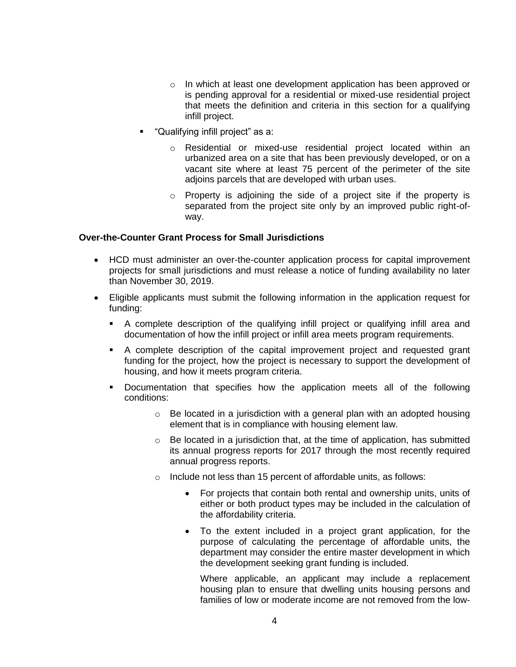- o In which at least one development application has been approved or is pending approval for a residential or mixed-use residential project that meets the definition and criteria in this section for a qualifying infill project.
- "Qualifying infill project" as a:
	- o Residential or mixed-use residential project located within an urbanized area on a site that has been previously developed, or on a vacant site where at least 75 percent of the perimeter of the site adjoins parcels that are developed with urban uses.
	- o Property is adjoining the side of a project site if the property is separated from the project site only by an improved public right-ofway.

#### **Over-the-Counter Grant Process for Small Jurisdictions**

- HCD must administer an over-the-counter application process for capital improvement projects for small jurisdictions and must release a notice of funding availability no later than November 30, 2019.
- Eligible applicants must submit the following information in the application request for funding:
	- A complete description of the qualifying infill project or qualifying infill area and documentation of how the infill project or infill area meets program requirements.
	- A complete description of the capital improvement project and requested grant funding for the project, how the project is necessary to support the development of housing, and how it meets program criteria.
	- Documentation that specifies how the application meets all of the following conditions:
		- $\circ$  Be located in a jurisdiction with a general plan with an adopted housing element that is in compliance with housing element law.
		- $\circ$  Be located in a jurisdiction that, at the time of application, has submitted its annual progress reports for 2017 through the most recently required annual progress reports.
		- $\circ$  Include not less than 15 percent of affordable units, as follows:
			- For projects that contain both rental and ownership units, units of either or both product types may be included in the calculation of the affordability criteria.
			- To the extent included in a project grant application, for the purpose of calculating the percentage of affordable units, the department may consider the entire master development in which the development seeking grant funding is included.

Where applicable, an applicant may include a replacement housing plan to ensure that dwelling units housing persons and families of low or moderate income are not removed from the low-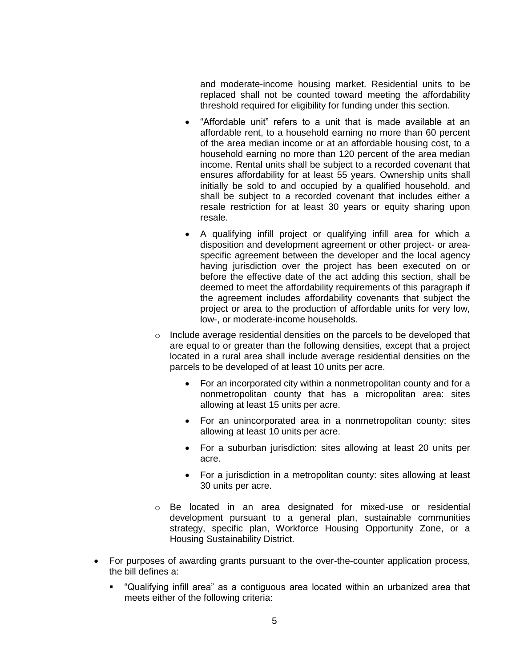and moderate-income housing market. Residential units to be replaced shall not be counted toward meeting the affordability threshold required for eligibility for funding under this section.

- "Affordable unit" refers to a unit that is made available at an affordable rent, to a household earning no more than 60 percent of the area median income or at an affordable housing cost, to a household earning no more than 120 percent of the area median income. Rental units shall be subject to a recorded covenant that ensures affordability for at least 55 years. Ownership units shall initially be sold to and occupied by a qualified household, and shall be subject to a recorded covenant that includes either a resale restriction for at least 30 years or equity sharing upon resale.
- A qualifying infill project or qualifying infill area for which a disposition and development agreement or other project- or areaspecific agreement between the developer and the local agency having jurisdiction over the project has been executed on or before the effective date of the act adding this section, shall be deemed to meet the affordability requirements of this paragraph if the agreement includes affordability covenants that subject the project or area to the production of affordable units for very low, low-, or moderate-income households.
- $\circ$  Include average residential densities on the parcels to be developed that are equal to or greater than the following densities, except that a project located in a rural area shall include average residential densities on the parcels to be developed of at least 10 units per acre.
	- For an incorporated city within a nonmetropolitan county and for a nonmetropolitan county that has a micropolitan area: sites allowing at least 15 units per acre.
	- For an unincorporated area in a nonmetropolitan county: sites allowing at least 10 units per acre.
	- For a suburban jurisdiction: sites allowing at least 20 units per acre.
	- For a jurisdiction in a metropolitan county: sites allowing at least 30 units per acre.
- o Be located in an area designated for mixed-use or residential development pursuant to a general plan, sustainable communities strategy, specific plan, Workforce Housing Opportunity Zone, or a Housing Sustainability District.
- For purposes of awarding grants pursuant to the over-the-counter application process, the bill defines a:
	- "Qualifying infill area" as a contiguous area located within an urbanized area that meets either of the following criteria: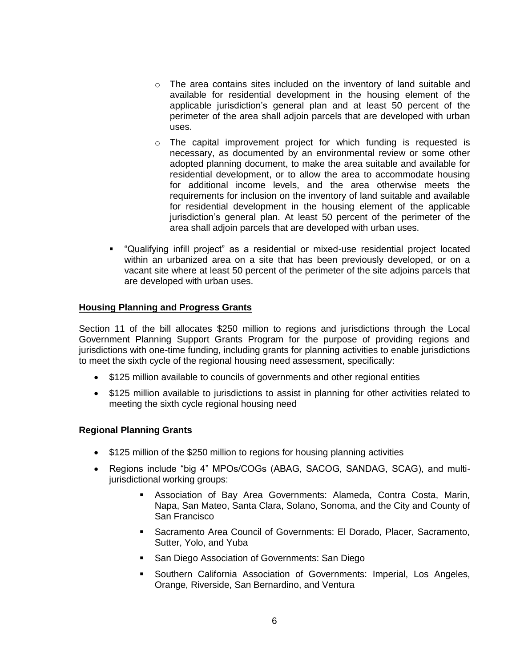- $\circ$  The area contains sites included on the inventory of land suitable and available for residential development in the housing element of the applicable jurisdiction's general plan and at least 50 percent of the perimeter of the area shall adjoin parcels that are developed with urban uses.
- $\circ$  The capital improvement project for which funding is requested is necessary, as documented by an environmental review or some other adopted planning document, to make the area suitable and available for residential development, or to allow the area to accommodate housing for additional income levels, and the area otherwise meets the requirements for inclusion on the inventory of land suitable and available for residential development in the housing element of the applicable jurisdiction's general plan. At least 50 percent of the perimeter of the area shall adjoin parcels that are developed with urban uses.
- "Qualifying infill project" as a residential or mixed-use residential project located within an urbanized area on a site that has been previously developed, or on a vacant site where at least 50 percent of the perimeter of the site adjoins parcels that are developed with urban uses.

## **Housing Planning and Progress Grants**

Section 11 of the bill allocates \$250 million to regions and jurisdictions through the Local Government Planning Support Grants Program for the purpose of providing regions and jurisdictions with one-time funding, including grants for planning activities to enable jurisdictions to meet the sixth cycle of the regional housing need assessment, specifically:

- \$125 million available to councils of governments and other regional entities
- \$125 million available to jurisdictions to assist in planning for other activities related to meeting the sixth cycle regional housing need

#### **Regional Planning Grants**

- \$125 million of the \$250 million to regions for housing planning activities
- Regions include "big 4" MPOs/COGs (ABAG, SACOG, SANDAG, SCAG), and multijurisdictional working groups:
	- Association of Bay Area Governments: Alameda, Contra Costa, Marin, Napa, San Mateo, Santa Clara, Solano, Sonoma, and the City and County of San Francisco
	- Sacramento Area Council of Governments: El Dorado, Placer, Sacramento, Sutter, Yolo, and Yuba
	- **San Diego Association of Governments: San Diego**
	- Southern California Association of Governments: Imperial, Los Angeles, Orange, Riverside, San Bernardino, and Ventura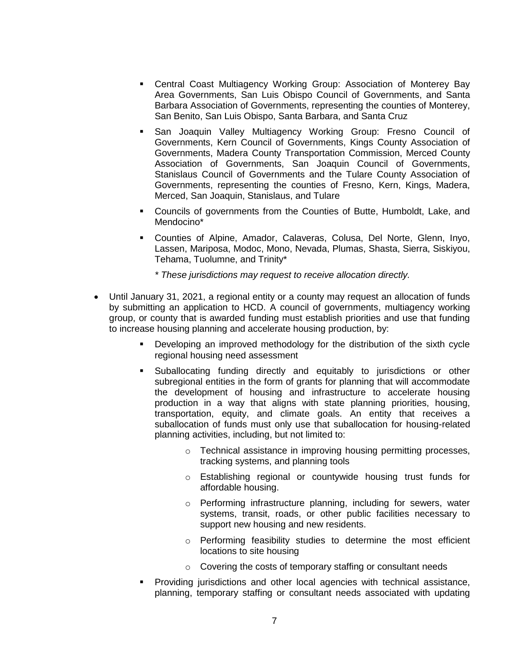- Central Coast Multiagency Working Group: Association of Monterey Bay Area Governments, San Luis Obispo Council of Governments, and Santa Barbara Association of Governments, representing the counties of Monterey, San Benito, San Luis Obispo, Santa Barbara, and Santa Cruz
- San Joaquin Valley Multiagency Working Group: Fresno Council of Governments, Kern Council of Governments, Kings County Association of Governments, Madera County Transportation Commission, Merced County Association of Governments, San Joaquin Council of Governments, Stanislaus Council of Governments and the Tulare County Association of Governments, representing the counties of Fresno, Kern, Kings, Madera, Merced, San Joaquin, Stanislaus, and Tulare
- Councils of governments from the Counties of Butte, Humboldt, Lake, and Mendocino\*
- Counties of Alpine, Amador, Calaveras, Colusa, Del Norte, Glenn, Inyo, Lassen, Mariposa, Modoc, Mono, Nevada, Plumas, Shasta, Sierra, Siskiyou, Tehama, Tuolumne, and Trinity\*

*\* These jurisdictions may request to receive allocation directly.* 

- Until January 31, 2021, a regional entity or a county may request an allocation of funds by submitting an application to HCD. A council of governments, multiagency working group, or county that is awarded funding must establish priorities and use that funding to increase housing planning and accelerate housing production, by:
	- Developing an improved methodology for the distribution of the sixth cycle regional housing need assessment
	- Suballocating funding directly and equitably to jurisdictions or other subregional entities in the form of grants for planning that will accommodate the development of housing and infrastructure to accelerate housing production in a way that aligns with state planning priorities, housing, transportation, equity, and climate goals. An entity that receives a suballocation of funds must only use that suballocation for housing-related planning activities, including, but not limited to:
		- o Technical assistance in improving housing permitting processes, tracking systems, and planning tools
		- o Establishing regional or countywide housing trust funds for affordable housing.
		- o Performing infrastructure planning, including for sewers, water systems, transit, roads, or other public facilities necessary to support new housing and new residents.
		- o Performing feasibility studies to determine the most efficient locations to site housing
		- o Covering the costs of temporary staffing or consultant needs
	- Providing jurisdictions and other local agencies with technical assistance, planning, temporary staffing or consultant needs associated with updating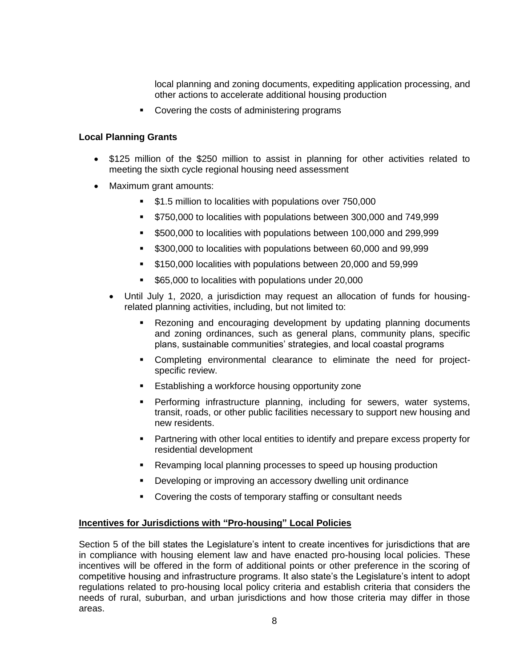local planning and zoning documents, expediting application processing, and other actions to accelerate additional housing production

**•** Covering the costs of administering programs

## **Local Planning Grants**

- \$125 million of the \$250 million to assist in planning for other activities related to meeting the sixth cycle regional housing need assessment
- Maximum grant amounts:
	- \$1.5 million to localities with populations over 750,000
	- **5750,000 to localities with populations between 300,000 and 749,999**
	- \$500,000 to localities with populations between 100,000 and 299,999
	- **5300,000 to localities with populations between 60,000 and 99,999**
	- \$150,000 localities with populations between 20,000 and 59,999
	- **565,000 to localities with populations under 20,000**
	- Until July 1, 2020, a jurisdiction may request an allocation of funds for housingrelated planning activities, including, but not limited to:
		- Rezoning and encouraging development by updating planning documents and zoning ordinances, such as general plans, community plans, specific plans, sustainable communities' strategies, and local coastal programs
		- Completing environmental clearance to eliminate the need for projectspecific review.
		- **Establishing a workforce housing opportunity zone**
		- Performing infrastructure planning, including for sewers, water systems, transit, roads, or other public facilities necessary to support new housing and new residents.
		- Partnering with other local entities to identify and prepare excess property for residential development
		- Revamping local planning processes to speed up housing production
		- Developing or improving an accessory dwelling unit ordinance
		- Covering the costs of temporary staffing or consultant needs

#### **Incentives for Jurisdictions with "Pro-housing" Local Policies**

Section 5 of the bill states the Legislature's intent to create incentives for jurisdictions that are in compliance with housing element law and have enacted pro-housing local policies. These incentives will be offered in the form of additional points or other preference in the scoring of competitive housing and infrastructure programs. It also state's the Legislature's intent to adopt regulations related to pro-housing local policy criteria and establish criteria that considers the needs of rural, suburban, and urban jurisdictions and how those criteria may differ in those areas.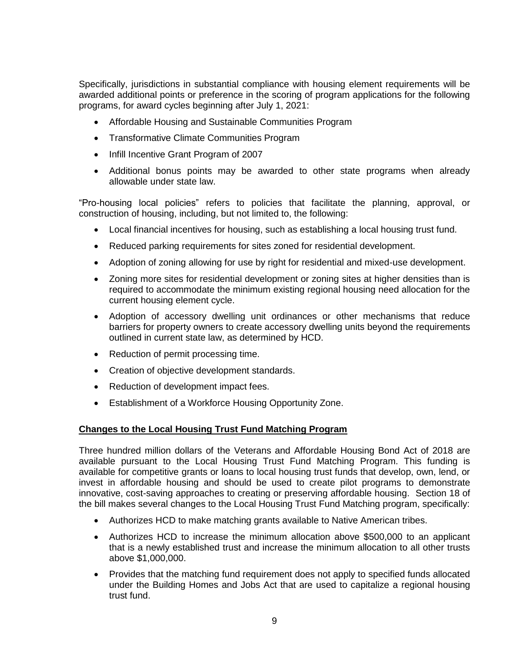Specifically, jurisdictions in substantial compliance with housing element requirements will be awarded additional points or preference in the scoring of program applications for the following programs, for award cycles beginning after July 1, 2021:

- Affordable Housing and Sustainable Communities Program
- Transformative Climate Communities Program
- Infill Incentive Grant Program of 2007
- Additional bonus points may be awarded to other state programs when already allowable under state law.

"Pro-housing local policies" refers to policies that facilitate the planning, approval, or construction of housing, including, but not limited to, the following:

- Local financial incentives for housing, such as establishing a local housing trust fund.
- Reduced parking requirements for sites zoned for residential development.
- Adoption of zoning allowing for use by right for residential and mixed-use development.
- Zoning more sites for residential development or zoning sites at higher densities than is required to accommodate the minimum existing regional housing need allocation for the current housing element cycle.
- Adoption of accessory dwelling unit ordinances or other mechanisms that reduce barriers for property owners to create accessory dwelling units beyond the requirements outlined in current state law, as determined by HCD.
- Reduction of permit processing time.
- Creation of objective development standards.
- Reduction of development impact fees.
- Establishment of a Workforce Housing Opportunity Zone.

#### **Changes to the Local Housing Trust Fund Matching Program**

Three hundred million dollars of the Veterans and Affordable Housing Bond Act of 2018 are available pursuant to the Local Housing Trust Fund Matching Program. This funding is available for competitive grants or loans to local housing trust funds that develop, own, lend, or invest in affordable housing and should be used to create pilot programs to demonstrate innovative, cost-saving approaches to creating or preserving affordable housing. Section 18 of the bill makes several changes to the Local Housing Trust Fund Matching program, specifically:

- Authorizes HCD to make matching grants available to Native American tribes.
- Authorizes HCD to increase the minimum allocation above \$500,000 to an applicant that is a newly established trust and increase the minimum allocation to all other trusts above \$1,000,000.
- Provides that the matching fund requirement does not apply to specified funds allocated under the Building Homes and Jobs Act that are used to capitalize a regional housing trust fund.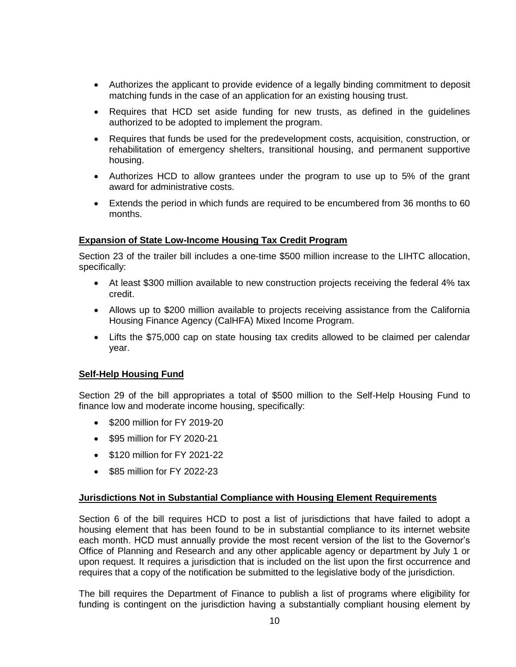- Authorizes the applicant to provide evidence of a legally binding commitment to deposit matching funds in the case of an application for an existing housing trust.
- Requires that HCD set aside funding for new trusts, as defined in the guidelines authorized to be adopted to implement the program.
- Requires that funds be used for the predevelopment costs, acquisition, construction, or rehabilitation of emergency shelters, transitional housing, and permanent supportive housing.
- Authorizes HCD to allow grantees under the program to use up to 5% of the grant award for administrative costs.
- Extends the period in which funds are required to be encumbered from 36 months to 60 months.

# **Expansion of State Low-Income Housing Tax Credit Program**

Section 23 of the trailer bill includes a one-time \$500 million increase to the LIHTC allocation, specifically:

- At least \$300 million available to new construction projects receiving the federal 4% tax credit.
- Allows up to \$200 million available to projects receiving assistance from the California Housing Finance Agency (CalHFA) Mixed Income Program.
- Lifts the \$75,000 cap on state housing tax credits allowed to be claimed per calendar year.

# **Self-Help Housing Fund**

Section 29 of the bill appropriates a total of \$500 million to the Self-Help Housing Fund to finance low and moderate income housing, specifically:

- \$200 million for FY 2019-20
- \$95 million for FY 2020-21
- \$120 million for FY 2021-22
- \$85 million for FY 2022-23

# **Jurisdictions Not in Substantial Compliance with Housing Element Requirements**

Section 6 of the bill requires HCD to post a list of jurisdictions that have failed to adopt a housing element that has been found to be in substantial compliance to its internet website each month. HCD must annually provide the most recent version of the list to the Governor's Office of Planning and Research and any other applicable agency or department by July 1 or upon request. It requires a jurisdiction that is included on the list upon the first occurrence and requires that a copy of the notification be submitted to the legislative body of the jurisdiction.

The bill requires the Department of Finance to publish a list of programs where eligibility for funding is contingent on the jurisdiction having a substantially compliant housing element by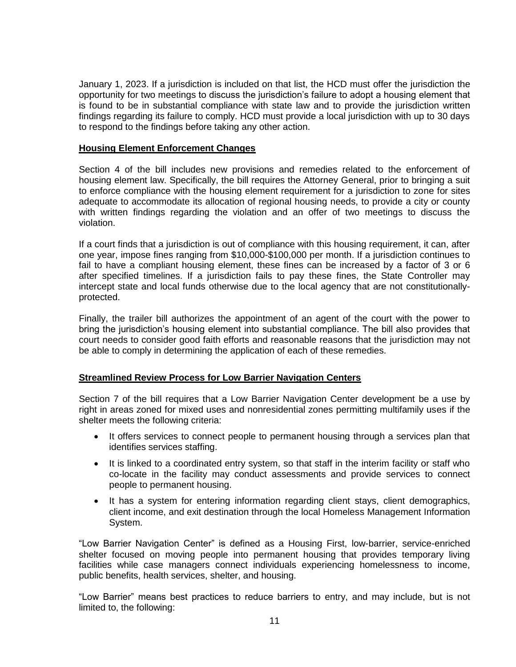January 1, 2023. If a jurisdiction is included on that list, the HCD must offer the jurisdiction the opportunity for two meetings to discuss the jurisdiction's failure to adopt a housing element that is found to be in substantial compliance with state law and to provide the jurisdiction written findings regarding its failure to comply. HCD must provide a local jurisdiction with up to 30 days to respond to the findings before taking any other action.

## **Housing Element Enforcement Changes**

Section 4 of the bill includes new provisions and remedies related to the enforcement of housing element law. Specifically, the bill requires the Attorney General, prior to bringing a suit to enforce compliance with the housing element requirement for a jurisdiction to zone for sites adequate to accommodate its allocation of regional housing needs, to provide a city or county with written findings regarding the violation and an offer of two meetings to discuss the violation.

If a court finds that a jurisdiction is out of compliance with this housing requirement, it can, after one year, impose fines ranging from \$10,000-\$100,000 per month. If a jurisdiction continues to fail to have a compliant housing element, these fines can be increased by a factor of 3 or 6 after specified timelines. If a jurisdiction fails to pay these fines, the State Controller may intercept state and local funds otherwise due to the local agency that are not constitutionallyprotected.

Finally, the trailer bill authorizes the appointment of an agent of the court with the power to bring the jurisdiction's housing element into substantial compliance. The bill also provides that court needs to consider good faith efforts and reasonable reasons that the jurisdiction may not be able to comply in determining the application of each of these remedies.

# **Streamlined Review Process for Low Barrier Navigation Centers**

Section 7 of the bill requires that a Low Barrier Navigation Center development be a use by right in areas zoned for mixed uses and nonresidential zones permitting multifamily uses if the shelter meets the following criteria:

- It offers services to connect people to permanent housing through a services plan that identifies services staffing.
- It is linked to a coordinated entry system, so that staff in the interim facility or staff who co-locate in the facility may conduct assessments and provide services to connect people to permanent housing.
- It has a system for entering information regarding client stays, client demographics, client income, and exit destination through the local Homeless Management Information System.

"Low Barrier Navigation Center" is defined as a Housing First, low-barrier, service-enriched shelter focused on moving people into permanent housing that provides temporary living facilities while case managers connect individuals experiencing homelessness to income, public benefits, health services, shelter, and housing.

"Low Barrier" means best practices to reduce barriers to entry, and may include, but is not limited to, the following: